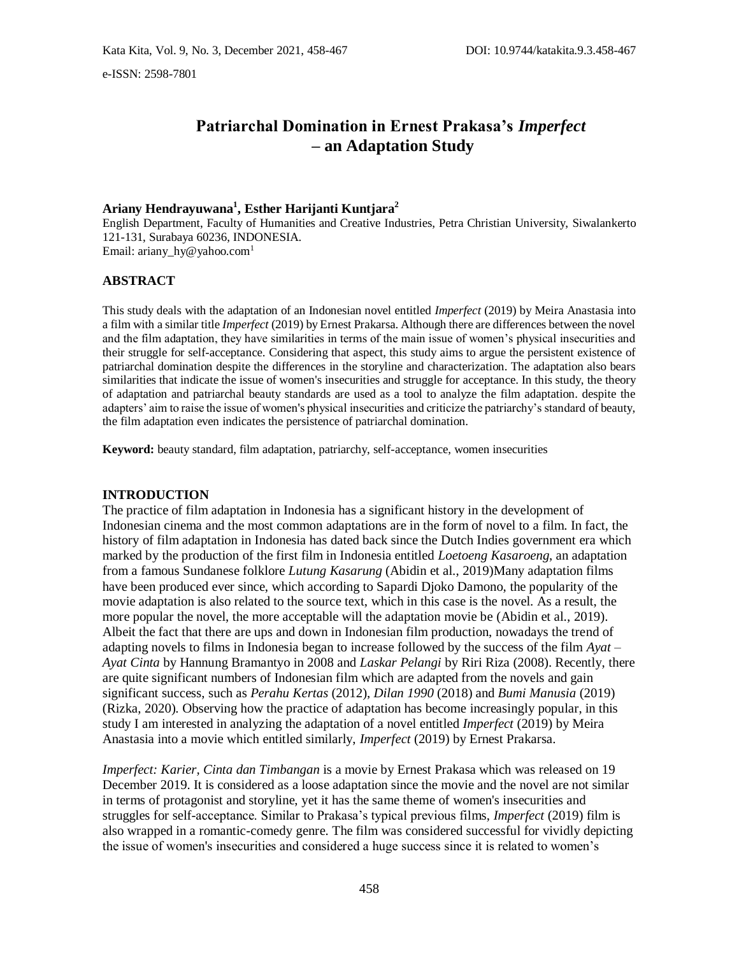# **Patriarchal Domination in Ernest Prakasa's** *Imperfect* **– an Adaptation Study**

## **Ariany Hendrayuwana<sup>1</sup> , Esther Harijanti Kuntjara<sup>2</sup>**

English Department, Faculty of Humanities and Creative Industries, Petra Christian University, Siwalankerto 121-131, Surabaya 60236, INDONESIA. Email: ariany\_hy@yahoo.com<sup>1</sup>

### **ABSTRACT**

This study deals with the adaptation of an Indonesian novel entitled *Imperfect* (2019) by Meira Anastasia into a film with a similar title *Imperfect* (2019) by Ernest Prakarsa. Although there are differences between the novel and the film adaptation, they have similarities in terms of the main issue of women's physical insecurities and their struggle for self-acceptance. Considering that aspect, this study aims to argue the persistent existence of patriarchal domination despite the differences in the storyline and characterization. The adaptation also bears similarities that indicate the issue of women's insecurities and struggle for acceptance. In this study, the theory of adaptation and patriarchal beauty standards are used as a tool to analyze the film adaptation. despite the adapters' aim to raise the issue of women's physical insecurities and criticize the patriarchy's standard of beauty, the film adaptation even indicates the persistence of patriarchal domination.

**Keyword:** beauty standard, film adaptation, patriarchy, self-acceptance, women insecurities

### **INTRODUCTION**

The practice of film adaptation in Indonesia has a significant history in the development of Indonesian cinema and the most common adaptations are in the form of novel to a film. In fact, the history of film adaptation in Indonesia has dated back since the Dutch Indies government era which marked by the production of the first film in Indonesia entitled *Loetoeng Kasaroeng*, an adaptation from a famous Sundanese folklore *Lutung Kasarung* (Abidin et al., 2019)Many adaptation films have been produced ever since, which according to Sapardi Djoko Damono, the popularity of the movie adaptation is also related to the source text, which in this case is the novel. As a result, the more popular the novel, the more acceptable will the adaptation movie be (Abidin et al., 2019). Albeit the fact that there are ups and down in Indonesian film production, nowadays the trend of adapting novels to films in Indonesia began to increase followed by the success of the film *Ayat – Ayat Cinta* by Hannung Bramantyo in 2008 and *Laskar Pelangi* by Riri Riza (2008). Recently, there are quite significant numbers of Indonesian film which are adapted from the novels and gain significant success, such as *Perahu Kertas* (2012), *Dilan 1990* (2018) and *Bumi Manusia* (2019) (Rizka, 2020). Observing how the practice of adaptation has become increasingly popular, in this study I am interested in analyzing the adaptation of a novel entitled *Imperfect* (2019) by Meira Anastasia into a movie which entitled similarly, *Imperfect* (2019) by Ernest Prakarsa.

*Imperfect: Karier, Cinta dan Timbangan* is a movie by Ernest Prakasa which was released on 19 December 2019. It is considered as a loose adaptation since the movie and the novel are not similar in terms of protagonist and storyline, yet it has the same theme of women's insecurities and struggles for self-acceptance. Similar to Prakasa's typical previous films, *Imperfect* (2019) film is also wrapped in a romantic-comedy genre. The film was considered successful for vividly depicting the issue of women's insecurities and considered a huge success since it is related to women's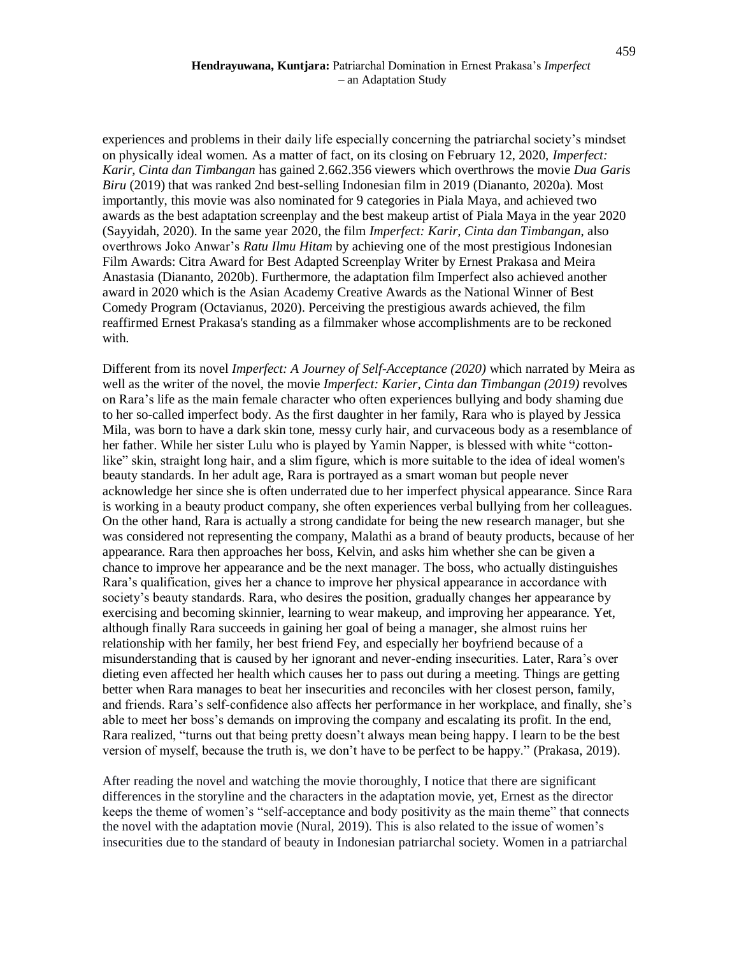### **Hendrayuwana, Kuntjara:** Patriarchal Domination in Ernest Prakasa's *Imperfect* – an Adaptation Study

experiences and problems in their daily life especially concerning the patriarchal society's mindset on physically ideal women. As a matter of fact, on its closing on February 12, 2020, *Imperfect: Karir, Cinta dan Timbangan* has gained 2.662.356 viewers which overthrows the movie *Dua Garis Biru* (2019) that was ranked 2nd best-selling Indonesian film in 2019 (Diananto, 2020a). Most importantly, this movie was also nominated for 9 categories in Piala Maya, and achieved two awards as the best adaptation screenplay and the best makeup artist of Piala Maya in the year 2020 (Sayyidah, 2020). In the same year 2020, the film *Imperfect: Karir, Cinta dan Timbangan*, also overthrows Joko Anwar's *Ratu Ilmu Hitam* by achieving one of the most prestigious Indonesian Film Awards: Citra Award for Best Adapted Screenplay Writer by Ernest Prakasa and Meira Anastasia (Diananto, 2020b). Furthermore, the adaptation film Imperfect also achieved another award in 2020 which is the Asian Academy Creative Awards as the National Winner of Best Comedy Program (Octavianus, 2020). Perceiving the prestigious awards achieved, the film reaffirmed Ernest Prakasa's standing as a filmmaker whose accomplishments are to be reckoned with.

Different from its novel *Imperfect: A Journey of Self-Acceptance (2020)* which narrated by Meira as well as the writer of the novel, the movie *Imperfect: Karier, Cinta dan Timbangan (2019)* revolves on Rara's life as the main female character who often experiences bullying and body shaming due to her so-called imperfect body. As the first daughter in her family, Rara who is played by Jessica Mila, was born to have a dark skin tone, messy curly hair, and curvaceous body as a resemblance of her father. While her sister Lulu who is played by Yamin Napper, is blessed with white "cottonlike" skin, straight long hair, and a slim figure, which is more suitable to the idea of ideal women's beauty standards. In her adult age, Rara is portrayed as a smart woman but people never acknowledge her since she is often underrated due to her imperfect physical appearance. Since Rara is working in a beauty product company, she often experiences verbal bullying from her colleagues. On the other hand, Rara is actually a strong candidate for being the new research manager, but she was considered not representing the company, Malathi as a brand of beauty products, because of her appearance. Rara then approaches her boss, Kelvin, and asks him whether she can be given a chance to improve her appearance and be the next manager. The boss, who actually distinguishes Rara's qualification, gives her a chance to improve her physical appearance in accordance with society's beauty standards. Rara, who desires the position, gradually changes her appearance by exercising and becoming skinnier, learning to wear makeup, and improving her appearance. Yet, although finally Rara succeeds in gaining her goal of being a manager, she almost ruins her relationship with her family, her best friend Fey, and especially her boyfriend because of a misunderstanding that is caused by her ignorant and never-ending insecurities. Later, Rara's over dieting even affected her health which causes her to pass out during a meeting. Things are getting better when Rara manages to beat her insecurities and reconciles with her closest person, family, and friends. Rara's self-confidence also affects her performance in her workplace, and finally, she's able to meet her boss's demands on improving the company and escalating its profit. In the end, Rara realized, "turns out that being pretty doesn't always mean being happy. I learn to be the best version of myself, because the truth is, we don't have to be perfect to be happy." (Prakasa, 2019).

After reading the novel and watching the movie thoroughly, I notice that there are significant differences in the storyline and the characters in the adaptation movie, yet, Ernest as the director keeps the theme of women's "self-acceptance and body positivity as the main theme" that connects the novel with the adaptation movie (Nural, 2019). This is also related to the issue of women's insecurities due to the standard of beauty in Indonesian patriarchal society. Women in a patriarchal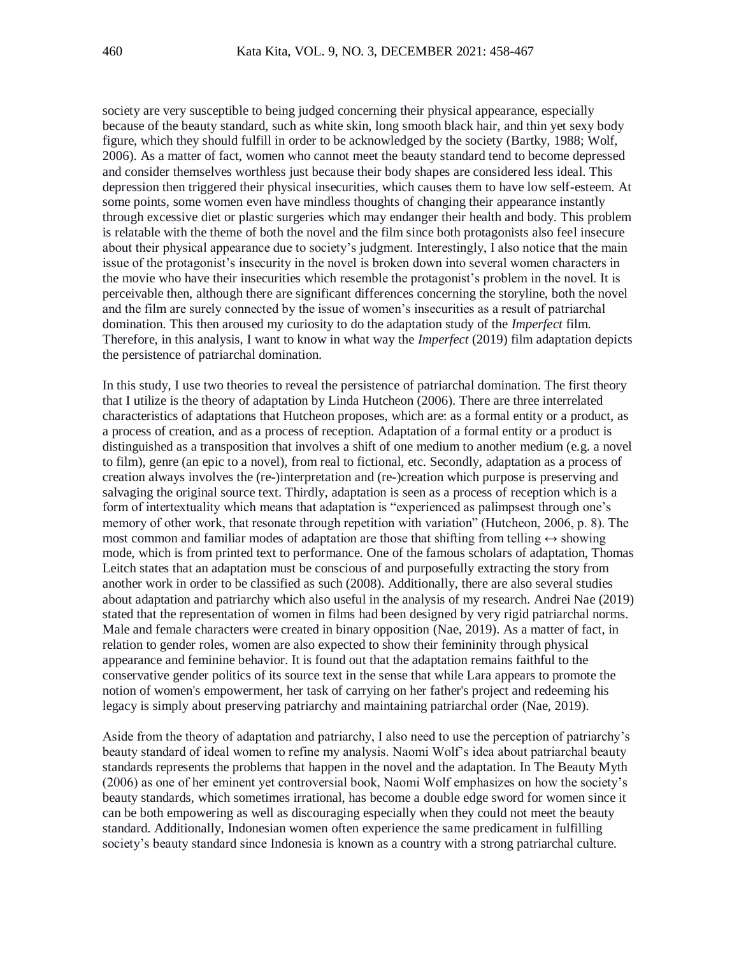society are very susceptible to being judged concerning their physical appearance, especially because of the beauty standard, such as white skin, long smooth black hair, and thin yet sexy body figure, which they should fulfill in order to be acknowledged by the society (Bartky, 1988; Wolf, 2006). As a matter of fact, women who cannot meet the beauty standard tend to become depressed and consider themselves worthless just because their body shapes are considered less ideal. This depression then triggered their physical insecurities, which causes them to have low self-esteem. At some points, some women even have mindless thoughts of changing their appearance instantly through excessive diet or plastic surgeries which may endanger their health and body. This problem is relatable with the theme of both the novel and the film since both protagonists also feel insecure about their physical appearance due to society's judgment. Interestingly, I also notice that the main issue of the protagonist's insecurity in the novel is broken down into several women characters in the movie who have their insecurities which resemble the protagonist's problem in the novel. It is perceivable then, although there are significant differences concerning the storyline, both the novel and the film are surely connected by the issue of women's insecurities as a result of patriarchal domination. This then aroused my curiosity to do the adaptation study of the *Imperfect* film. Therefore, in this analysis, I want to know in what way the *Imperfect* (2019) film adaptation depicts the persistence of patriarchal domination.

In this study, I use two theories to reveal the persistence of patriarchal domination. The first theory that I utilize is the theory of adaptation by Linda Hutcheon (2006). There are three interrelated characteristics of adaptations that Hutcheon proposes, which are: as a formal entity or a product, as a process of creation, and as a process of reception. Adaptation of a formal entity or a product is distinguished as a transposition that involves a shift of one medium to another medium (e.g. a novel to film), genre (an epic to a novel), from real to fictional, etc. Secondly, adaptation as a process of creation always involves the (re-)interpretation and (re-)creation which purpose is preserving and salvaging the original source text. Thirdly, adaptation is seen as a process of reception which is a form of intertextuality which means that adaptation is "experienced as palimpsest through one's memory of other work, that resonate through repetition with variation" (Hutcheon, 2006, p. 8). The most common and familiar modes of adaptation are those that shifting from telling  $\leftrightarrow$  showing mode, which is from printed text to performance. One of the famous scholars of adaptation, Thomas Leitch states that an adaptation must be conscious of and purposefully extracting the story from another work in order to be classified as such (2008). Additionally, there are also several studies about adaptation and patriarchy which also useful in the analysis of my research. Andrei Nae (2019) stated that the representation of women in films had been designed by very rigid patriarchal norms. Male and female characters were created in binary opposition (Nae, 2019). As a matter of fact, in relation to gender roles, women are also expected to show their femininity through physical appearance and feminine behavior. It is found out that the adaptation remains faithful to the conservative gender politics of its source text in the sense that while Lara appears to promote the notion of women's empowerment, her task of carrying on her father's project and redeeming his legacy is simply about preserving patriarchy and maintaining patriarchal order (Nae, 2019).

Aside from the theory of adaptation and patriarchy, I also need to use the perception of patriarchy's beauty standard of ideal women to refine my analysis. Naomi Wolf's idea about patriarchal beauty standards represents the problems that happen in the novel and the adaptation. In The Beauty Myth (2006) as one of her eminent yet controversial book, Naomi Wolf emphasizes on how the society's beauty standards, which sometimes irrational, has become a double edge sword for women since it can be both empowering as well as discouraging especially when they could not meet the beauty standard. Additionally, Indonesian women often experience the same predicament in fulfilling society's beauty standard since Indonesia is known as a country with a strong patriarchal culture.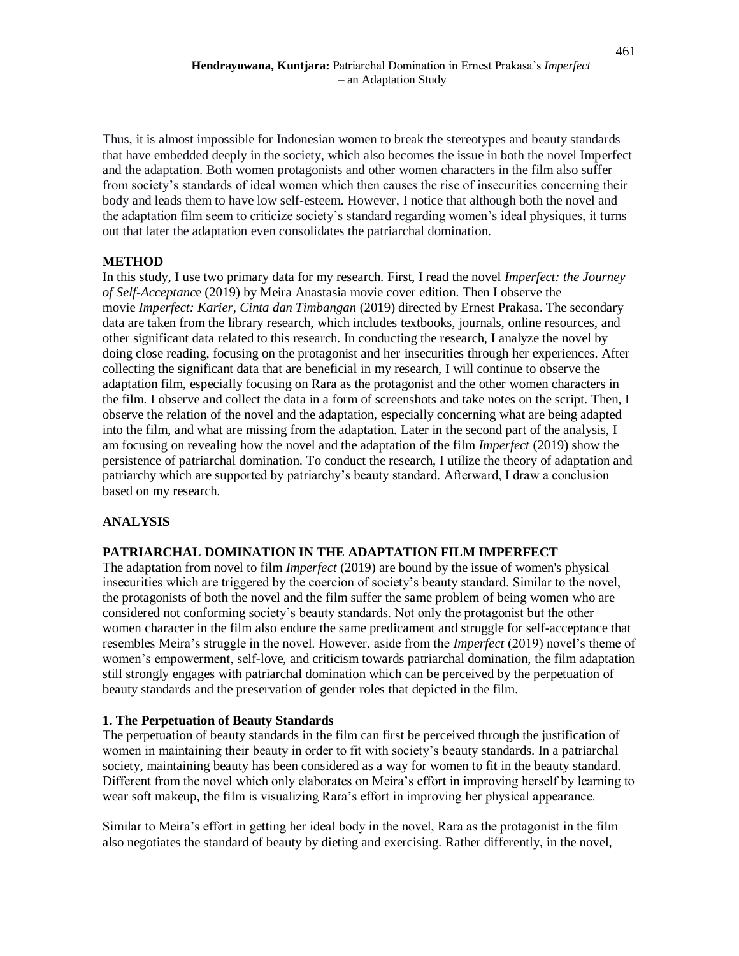Thus, it is almost impossible for Indonesian women to break the stereotypes and beauty standards that have embedded deeply in the society, which also becomes the issue in both the novel Imperfect and the adaptation. Both women protagonists and other women characters in the film also suffer from society's standards of ideal women which then causes the rise of insecurities concerning their body and leads them to have low self-esteem. However, I notice that although both the novel and the adaptation film seem to criticize society's standard regarding women's ideal physiques, it turns out that later the adaptation even consolidates the patriarchal domination.

### **METHOD**

In this study, I use two primary data for my research. First, I read the novel *Imperfect: the Journey of Self-Acceptanc*e (2019) by Meira Anastasia movie cover edition. Then I observe the movie *Imperfect: Karier, Cinta dan Timbangan* (2019) directed by Ernest Prakasa. The secondary data are taken from the library research, which includes textbooks, journals, online resources, and other significant data related to this research. In conducting the research, I analyze the novel by doing close reading, focusing on the protagonist and her insecurities through her experiences. After collecting the significant data that are beneficial in my research, I will continue to observe the adaptation film, especially focusing on Rara as the protagonist and the other women characters in the film. I observe and collect the data in a form of screenshots and take notes on the script. Then, I observe the relation of the novel and the adaptation, especially concerning what are being adapted into the film, and what are missing from the adaptation. Later in the second part of the analysis, I am focusing on revealing how the novel and the adaptation of the film *Imperfect* (2019) show the persistence of patriarchal domination. To conduct the research, I utilize the theory of adaptation and patriarchy which are supported by patriarchy's beauty standard. Afterward, I draw a conclusion based on my research.

### **ANALYSIS**

### **PATRIARCHAL DOMINATION IN THE ADAPTATION FILM IMPERFECT**

The adaptation from novel to film *Imperfect* (2019) are bound by the issue of women's physical insecurities which are triggered by the coercion of society's beauty standard. Similar to the novel, the protagonists of both the novel and the film suffer the same problem of being women who are considered not conforming society's beauty standards. Not only the protagonist but the other women character in the film also endure the same predicament and struggle for self-acceptance that resembles Meira's struggle in the novel. However, aside from the *Imperfect* (2019) novel's theme of women's empowerment, self-love, and criticism towards patriarchal domination, the film adaptation still strongly engages with patriarchal domination which can be perceived by the perpetuation of beauty standards and the preservation of gender roles that depicted in the film.

### **1. The Perpetuation of Beauty Standards**

The perpetuation of beauty standards in the film can first be perceived through the justification of women in maintaining their beauty in order to fit with society's beauty standards. In a patriarchal society, maintaining beauty has been considered as a way for women to fit in the beauty standard. Different from the novel which only elaborates on Meira's effort in improving herself by learning to wear soft makeup, the film is visualizing Rara's effort in improving her physical appearance.

Similar to Meira's effort in getting her ideal body in the novel, Rara as the protagonist in the film also negotiates the standard of beauty by dieting and exercising. Rather differently, in the novel,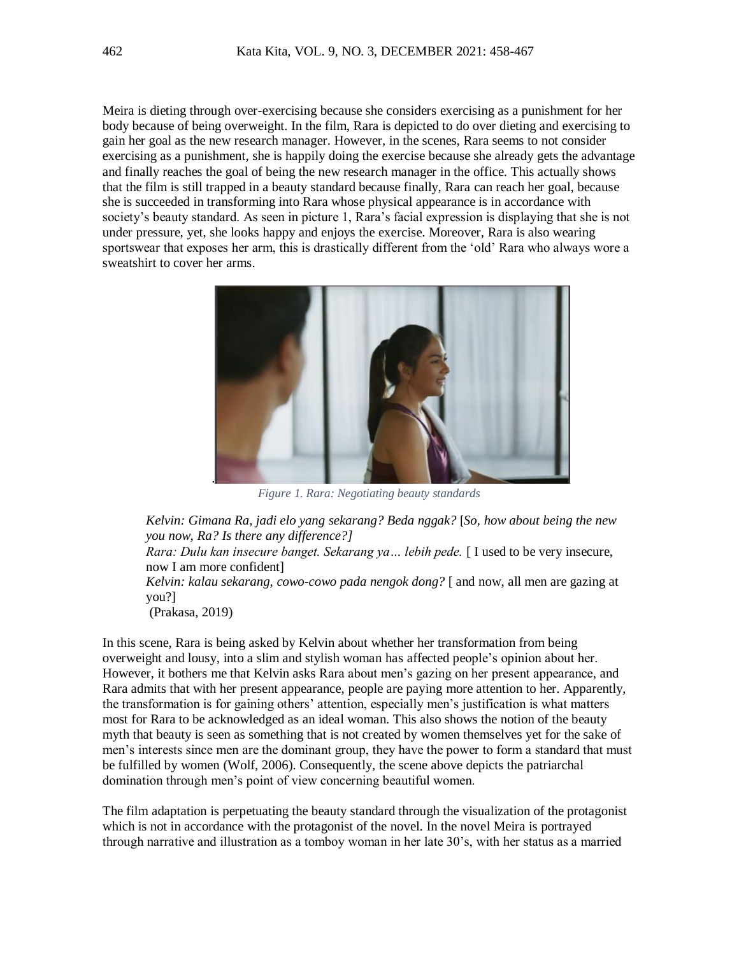Meira is dieting through over-exercising because she considers exercising as a punishment for her body because of being overweight. In the film, Rara is depicted to do over dieting and exercising to gain her goal as the new research manager. However, in the scenes, Rara seems to not consider exercising as a punishment, she is happily doing the exercise because she already gets the advantage and finally reaches the goal of being the new research manager in the office. This actually shows that the film is still trapped in a beauty standard because finally, Rara can reach her goal, because she is succeeded in transforming into Rara whose physical appearance is in accordance with society's beauty standard. As seen in picture 1, Rara's facial expression is displaying that she is not under pressure, yet, she looks happy and enjoys the exercise. Moreover, Rara is also wearing sportswear that exposes her arm, this is drastically different from the 'old' Rara who always wore a sweatshirt to cover her arms.



*Figure 1. Rara: Negotiating beauty standards*

*Kelvin: Gimana Ra, jadi elo yang sekarang? Beda nggak?* [*So, how about being the new you now, Ra? Is there any difference?]*

*Rara: Dulu kan insecure banget. Sekarang ya… lebih pede.* [ I used to be very insecure, now I am more confident]

*Kelvin: kalau sekarang, cowo-cowo pada nengok dong?* [ and now, all men are gazing at you?]

(Prakasa, 2019)

In this scene, Rara is being asked by Kelvin about whether her transformation from being overweight and lousy, into a slim and stylish woman has affected people's opinion about her. However, it bothers me that Kelvin asks Rara about men's gazing on her present appearance, and Rara admits that with her present appearance, people are paying more attention to her. Apparently, the transformation is for gaining others' attention, especially men's justification is what matters most for Rara to be acknowledged as an ideal woman. This also shows the notion of the beauty myth that beauty is seen as something that is not created by women themselves yet for the sake of men's interests since men are the dominant group, they have the power to form a standard that must be fulfilled by women (Wolf, 2006). Consequently, the scene above depicts the patriarchal domination through men's point of view concerning beautiful women.

The film adaptation is perpetuating the beauty standard through the visualization of the protagonist which is not in accordance with the protagonist of the novel. In the novel Meira is portrayed through narrative and illustration as a tomboy woman in her late 30's, with her status as a married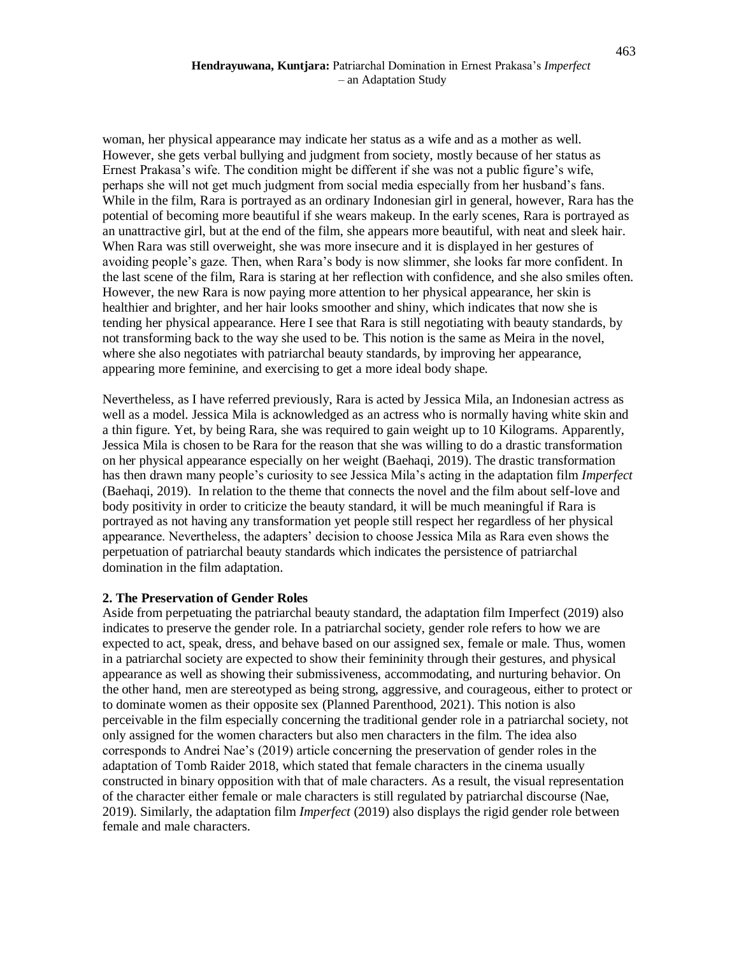### **Hendrayuwana, Kuntjara:** Patriarchal Domination in Ernest Prakasa's *Imperfect* – an Adaptation Study

woman, her physical appearance may indicate her status as a wife and as a mother as well. However, she gets verbal bullying and judgment from society, mostly because of her status as Ernest Prakasa's wife. The condition might be different if she was not a public figure's wife, perhaps she will not get much judgment from social media especially from her husband's fans. While in the film, Rara is portrayed as an ordinary Indonesian girl in general, however, Rara has the potential of becoming more beautiful if she wears makeup. In the early scenes, Rara is portrayed as an unattractive girl, but at the end of the film, she appears more beautiful, with neat and sleek hair. When Rara was still overweight, she was more insecure and it is displayed in her gestures of avoiding people's gaze. Then, when Rara's body is now slimmer, she looks far more confident. In the last scene of the film, Rara is staring at her reflection with confidence, and she also smiles often. However, the new Rara is now paying more attention to her physical appearance, her skin is healthier and brighter, and her hair looks smoother and shiny, which indicates that now she is tending her physical appearance. Here I see that Rara is still negotiating with beauty standards, by not transforming back to the way she used to be. This notion is the same as Meira in the novel, where she also negotiates with patriarchal beauty standards, by improving her appearance, appearing more feminine, and exercising to get a more ideal body shape.

Nevertheless, as I have referred previously, Rara is acted by Jessica Mila, an Indonesian actress as well as a model. Jessica Mila is acknowledged as an actress who is normally having white skin and a thin figure. Yet, by being Rara, she was required to gain weight up to 10 Kilograms. Apparently, Jessica Mila is chosen to be Rara for the reason that she was willing to do a drastic transformation on her physical appearance especially on her weight (Baehaqi, 2019). The drastic transformation has then drawn many people's curiosity to see Jessica Mila's acting in the adaptation film *Imperfect* (Baehaqi, 2019). In relation to the theme that connects the novel and the film about self-love and body positivity in order to criticize the beauty standard, it will be much meaningful if Rara is portrayed as not having any transformation yet people still respect her regardless of her physical appearance. Nevertheless, the adapters' decision to choose Jessica Mila as Rara even shows the perpetuation of patriarchal beauty standards which indicates the persistence of patriarchal domination in the film adaptation.

### **2. The Preservation of Gender Roles**

Aside from perpetuating the patriarchal beauty standard, the adaptation film Imperfect (2019) also indicates to preserve the gender role. In a patriarchal society, gender role refers to how we are expected to act, speak, dress, and behave based on our assigned sex, female or male. Thus, women in a patriarchal society are expected to show their femininity through their gestures, and physical appearance as well as showing their submissiveness, accommodating, and nurturing behavior. On the other hand, men are stereotyped as being strong, aggressive, and courageous, either to protect or to dominate women as their opposite sex (Planned Parenthood, 2021). This notion is also perceivable in the film especially concerning the traditional gender role in a patriarchal society, not only assigned for the women characters but also men characters in the film. The idea also corresponds to Andrei Nae's (2019) article concerning the preservation of gender roles in the adaptation of Tomb Raider 2018, which stated that female characters in the cinema usually constructed in binary opposition with that of male characters. As a result, the visual representation of the character either female or male characters is still regulated by patriarchal discourse (Nae, 2019). Similarly, the adaptation film *Imperfect* (2019) also displays the rigid gender role between female and male characters.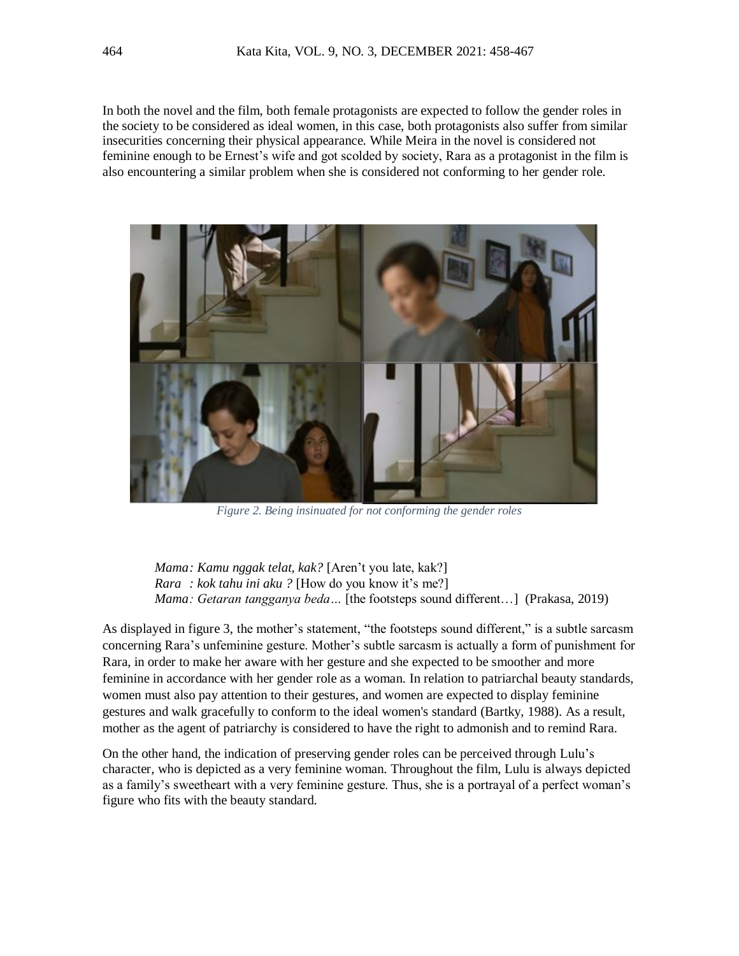In both the novel and the film, both female protagonists are expected to follow the gender roles in the society to be considered as ideal women, in this case, both protagonists also suffer from similar insecurities concerning their physical appearance. While Meira in the novel is considered not feminine enough to be Ernest's wife and got scolded by society, Rara as a protagonist in the film is also encountering a similar problem when she is considered not conforming to her gender role.



*Figure 2. Being insinuated for not conforming the gender roles*

*Mama: Kamu nggak telat, kak?* [Aren't you late, kak?] *Rara : kok tahu ini aku ?* [How do you know it's me?] *Mama: Getaran tangganya beda...* [the footsteps sound different...] (Prakasa, 2019)

As displayed in figure 3, the mother's statement, "the footsteps sound different," is a subtle sarcasm concerning Rara's unfeminine gesture. Mother's subtle sarcasm is actually a form of punishment for Rara, in order to make her aware with her gesture and she expected to be smoother and more feminine in accordance with her gender role as a woman. In relation to patriarchal beauty standards, women must also pay attention to their gestures, and women are expected to display feminine gestures and walk gracefully to conform to the ideal women's standard (Bartky, 1988). As a result, mother as the agent of patriarchy is considered to have the right to admonish and to remind Rara.

On the other hand, the indication of preserving gender roles can be perceived through Lulu's character, who is depicted as a very feminine woman. Throughout the film, Lulu is always depicted as a family's sweetheart with a very feminine gesture. Thus, she is a portrayal of a perfect woman's figure who fits with the beauty standard.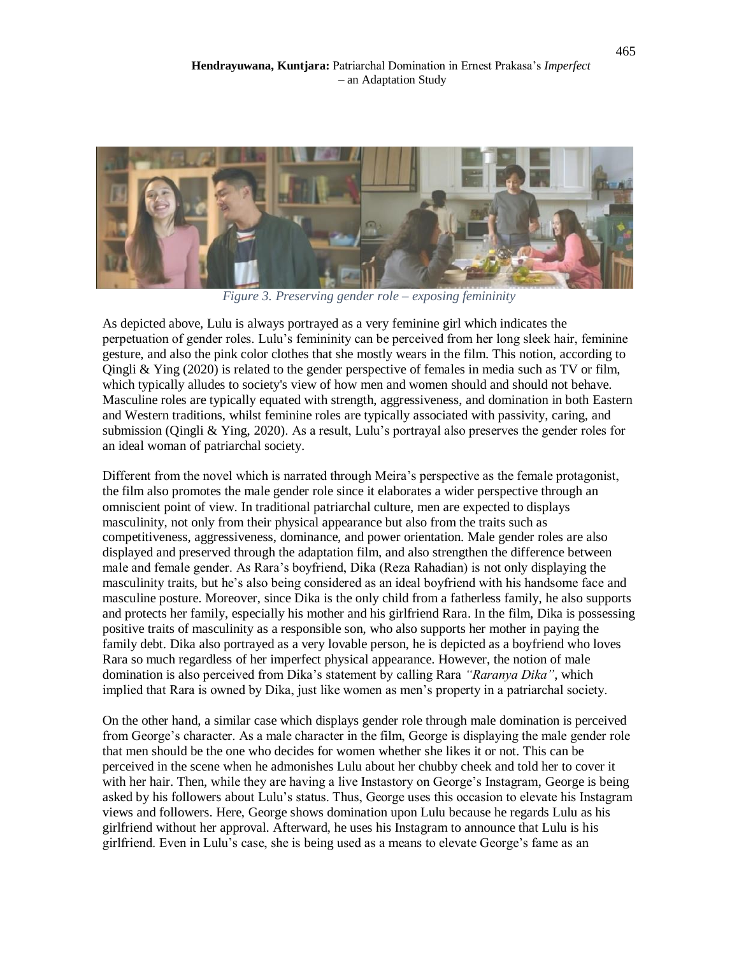

*Figure 3. Preserving gender role – exposing femininity*

As depicted above, Lulu is always portrayed as a very feminine girl which indicates the perpetuation of gender roles. Lulu's femininity can be perceived from her long sleek hair, feminine gesture, and also the pink color clothes that she mostly wears in the film. This notion, according to Qingli & Ying (2020) is related to the gender perspective of females in media such as TV or film, which typically alludes to society's view of how men and women should and should not behave. Masculine roles are typically equated with strength, aggressiveness, and domination in both Eastern and Western traditions, whilst feminine roles are typically associated with passivity, caring, and submission (Qingli & Ying, 2020). As a result, Lulu's portrayal also preserves the gender roles for an ideal woman of patriarchal society.

Different from the novel which is narrated through Meira's perspective as the female protagonist, the film also promotes the male gender role since it elaborates a wider perspective through an omniscient point of view. In traditional patriarchal culture, men are expected to displays masculinity, not only from their physical appearance but also from the traits such as competitiveness, aggressiveness, dominance, and power orientation. Male gender roles are also displayed and preserved through the adaptation film, and also strengthen the difference between male and female gender. As Rara's boyfriend, Dika (Reza Rahadian) is not only displaying the masculinity traits, but he's also being considered as an ideal boyfriend with his handsome face and masculine posture. Moreover, since Dika is the only child from a fatherless family, he also supports and protects her family, especially his mother and his girlfriend Rara. In the film, Dika is possessing positive traits of masculinity as a responsible son, who also supports her mother in paying the family debt. Dika also portrayed as a very lovable person, he is depicted as a boyfriend who loves Rara so much regardless of her imperfect physical appearance. However, the notion of male domination is also perceived from Dika's statement by calling Rara *"Raranya Dika"*, which implied that Rara is owned by Dika, just like women as men's property in a patriarchal society.

On the other hand, a similar case which displays gender role through male domination is perceived from George's character. As a male character in the film, George is displaying the male gender role that men should be the one who decides for women whether she likes it or not. This can be perceived in the scene when he admonishes Lulu about her chubby cheek and told her to cover it with her hair. Then, while they are having a live Instastory on George's Instagram, George is being asked by his followers about Lulu's status. Thus, George uses this occasion to elevate his Instagram views and followers. Here, George shows domination upon Lulu because he regards Lulu as his girlfriend without her approval. Afterward, he uses his Instagram to announce that Lulu is his girlfriend. Even in Lulu's case, she is being used as a means to elevate George's fame as an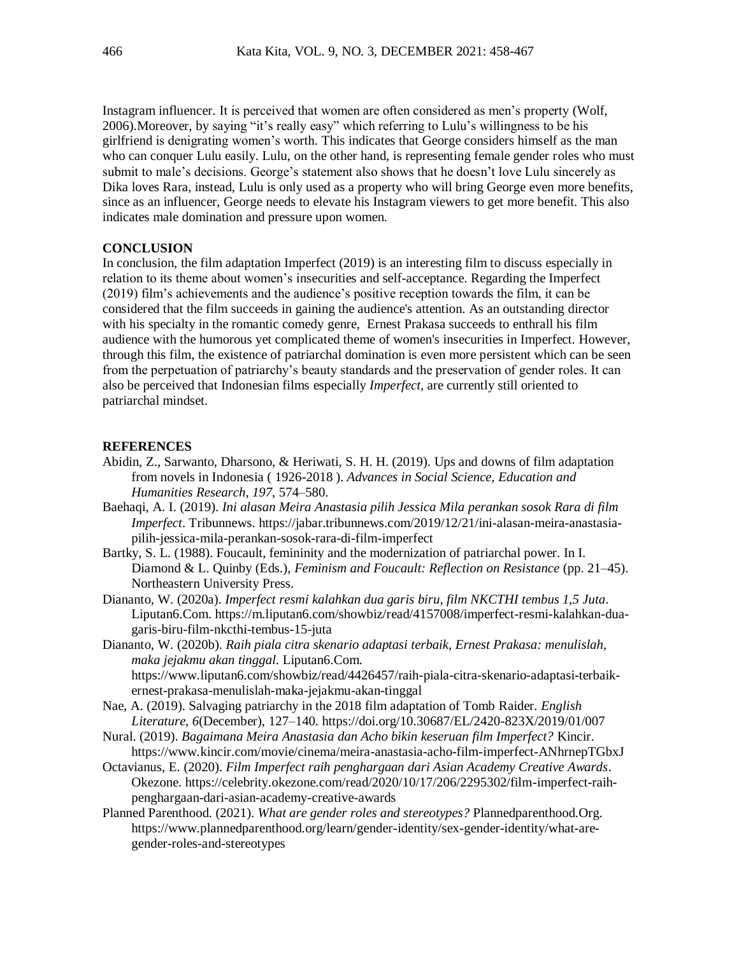Instagram influencer. It is perceived that women are often considered as men's property (Wolf, 2006).Moreover, by saying "it's really easy" which referring to Lulu's willingness to be his girlfriend is denigrating women's worth. This indicates that George considers himself as the man who can conquer Lulu easily. Lulu, on the other hand, is representing female gender roles who must submit to male's decisions. George's statement also shows that he doesn't love Lulu sincerely as Dika loves Rara, instead, Lulu is only used as a property who will bring George even more benefits, since as an influencer, George needs to elevate his Instagram viewers to get more benefit. This also indicates male domination and pressure upon women.

### **CONCLUSION**

In conclusion, the film adaptation Imperfect (2019) is an interesting film to discuss especially in relation to its theme about women's insecurities and self-acceptance. Regarding the Imperfect (2019) film's achievements and the audience's positive reception towards the film, it can be considered that the film succeeds in gaining the audience's attention. As an outstanding director with his specialty in the romantic comedy genre, Ernest Prakasa succeeds to enthrall his film audience with the humorous yet complicated theme of women's insecurities in Imperfect. However, through this film, the existence of patriarchal domination is even more persistent which can be seen from the perpetuation of patriarchy's beauty standards and the preservation of gender roles. It can also be perceived that Indonesian films especially *Imperfect,* are currently still oriented to patriarchal mindset.

#### **REFERENCES**

- Abidin, Z., Sarwanto, Dharsono, & Heriwati, S. H. H. (2019). Ups and downs of film adaptation from novels in Indonesia ( 1926-2018 ). *Advances in Social Science, Education and Humanities Research*, *197*, 574–580.
- Baehaqi, A. I. (2019). *Ini alasan Meira Anastasia pilih Jessica Mila perankan sosok Rara di film Imperfect*. Tribunnews. https://jabar.tribunnews.com/2019/12/21/ini-alasan-meira-anastasiapilih-jessica-mila-perankan-sosok-rara-di-film-imperfect
- Bartky, S. L. (1988). Foucault, femininity and the modernization of patriarchal power. In I. Diamond & L. Quinby (Eds.), *Feminism and Foucault: Reflection on Resistance* (pp. 21–45). Northeastern University Press.
- Diananto, W. (2020a). *Imperfect resmi kalahkan dua garis biru, film NKCTHI tembus 1,5 Juta*. Liputan6.Com. https://m.liputan6.com/showbiz/read/4157008/imperfect-resmi-kalahkan-duagaris-biru-film-nkcthi-tembus-15-juta
- Diananto, W. (2020b). *Raih piala citra skenario adaptasi terbaik, Ernest Prakasa: menulislah, maka jejakmu akan tinggal*. Liputan6.Com. https://www.liputan6.com/showbiz/read/4426457/raih-piala-citra-skenario-adaptasi-terbaikernest-prakasa-menulislah-maka-jejakmu-akan-tinggal
- Nae, A. (2019). Salvaging patriarchy in the 2018 film adaptation of Tomb Raider. *English Literature*, *6*(December), 127–140. https://doi.org/10.30687/EL/2420-823X/2019/01/007
- Nural. (2019). *Bagaimana Meira Anastasia dan Acho bikin keseruan film Imperfect?* Kincir. https://www.kincir.com/movie/cinema/meira-anastasia-acho-film-imperfect-ANhrnepTGbxJ
- Octavianus, E. (2020). *Film Imperfect raih penghargaan dari Asian Academy Creative Awards*. Okezone. https://celebrity.okezone.com/read/2020/10/17/206/2295302/film-imperfect-raihpenghargaan-dari-asian-academy-creative-awards
- Planned Parenthood. (2021). *What are gender roles and stereotypes?* Plannedparenthood.Org. https://www.plannedparenthood.org/learn/gender-identity/sex-gender-identity/what-aregender-roles-and-stereotypes